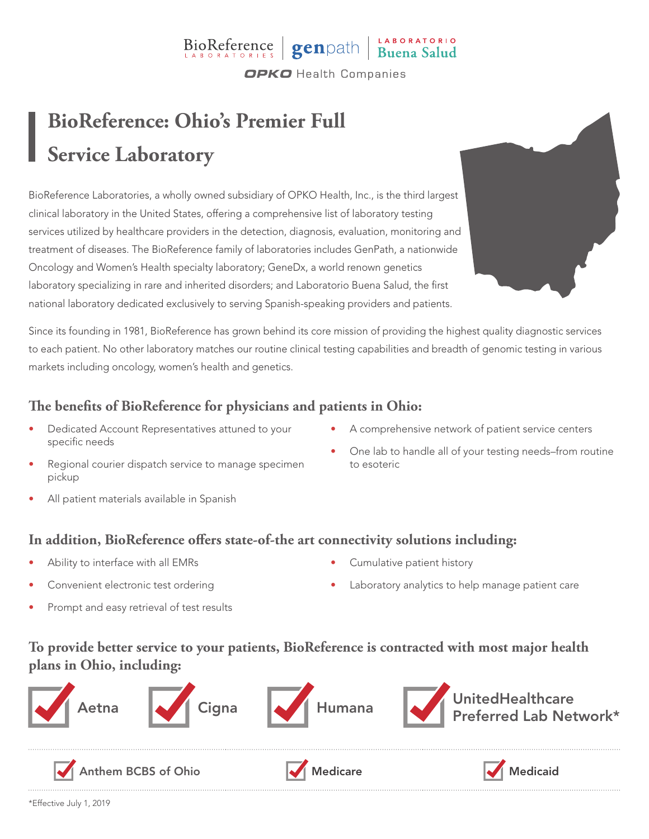## BioReference genpath Buena Salud **OPKO** Health Companies

# **BioReference: Ohio's Premier Full Service Laboratory**

BioReference Laboratories, a wholly owned subsidiary of OPKO Health, Inc., is the third largest clinical laboratory in the United States, offering a comprehensive list of laboratory testing services utilized by healthcare providers in the detection, diagnosis, evaluation, monitoring and treatment of diseases. The BioReference family of laboratories includes GenPath, a nationwide Oncology and Women's Health specialty laboratory; GeneDx, a world renown genetics laboratory specializing in rare and inherited disorders; and Laboratorio Buena Salud, the first national laboratory dedicated exclusively to serving Spanish-speaking providers and patients.



Since its founding in 1981, BioReference has grown behind its core mission of providing the highest quality diagnostic services to each patient. No other laboratory matches our routine clinical testing capabilities and breadth of genomic testing in various markets including oncology, women's health and genetics.

### **The benefits of BioReference for physicians and patients in Ohio:**

- Dedicated Account Representatives attuned to your specific needs
- A comprehensive network of patient service centers
- Regional courier dispatch service to manage specimen pickup
- One lab to handle all of your testing needs–from routine to esoteric

All patient materials available in Spanish

#### **In addition, BioReference offers state-of-the art connectivity solutions including:**

- Ability to interface with all EMRs
- Convenient electronic test ordering
- Prompt and easy retrieval of test results
- Cumulative patient history
- Laboratory analytics to help manage patient care

### **To provide better service to your patients, BioReference is contracted with most major health plans in Ohio, including:**